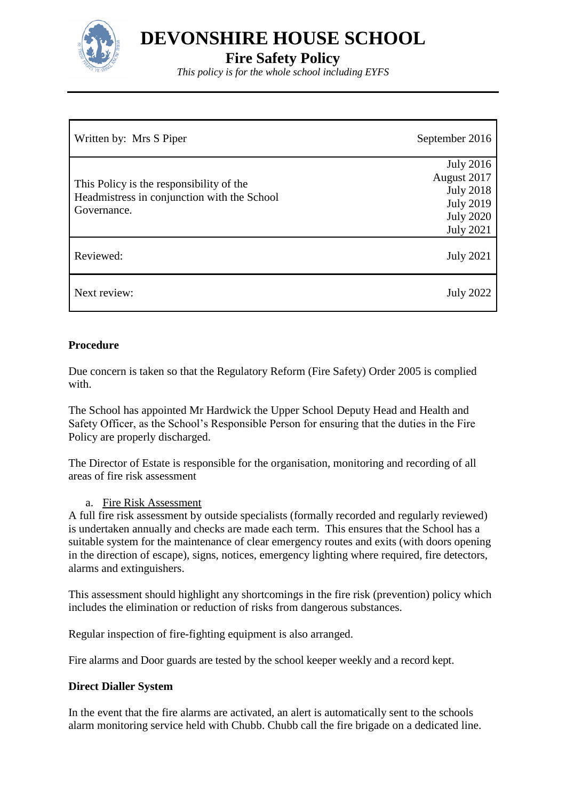

**DEVONSHIRE HOUSE SCHOOL**

**Fire Safety Policy**

*This policy is for the whole school including EYFS*

| Written by: Mrs S Piper                                                                                | September 2016                                                                                                  |
|--------------------------------------------------------------------------------------------------------|-----------------------------------------------------------------------------------------------------------------|
| This Policy is the responsibility of the<br>Headmistress in conjunction with the School<br>Governance. | <b>July 2016</b><br>August 2017<br><b>July 2018</b><br><b>July 2019</b><br><b>July 2020</b><br><b>July 2021</b> |
| Reviewed:                                                                                              | <b>July 2021</b>                                                                                                |
| Next review:                                                                                           | <b>July 2022</b>                                                                                                |

# **Procedure**

Due concern is taken so that the Regulatory Reform (Fire Safety) Order 2005 is complied with.

The School has appointed Mr Hardwick the Upper School Deputy Head and Health and Safety Officer, as the School's Responsible Person for ensuring that the duties in the Fire Policy are properly discharged.

The Director of Estate is responsible for the organisation, monitoring and recording of all areas of fire risk assessment

# a. Fire Risk Assessment

A full fire risk assessment by outside specialists (formally recorded and regularly reviewed) is undertaken annually and checks are made each term. This ensures that the School has a suitable system for the maintenance of clear emergency routes and exits (with doors opening in the direction of escape), signs, notices, emergency lighting where required, fire detectors, alarms and extinguishers.

This assessment should highlight any shortcomings in the fire risk (prevention) policy which includes the elimination or reduction of risks from dangerous substances.

Regular inspection of fire-fighting equipment is also arranged.

Fire alarms and Door guards are tested by the school keeper weekly and a record kept.

# **Direct Dialler System**

In the event that the fire alarms are activated, an alert is automatically sent to the schools alarm monitoring service held with Chubb. Chubb call the fire brigade on a dedicated line.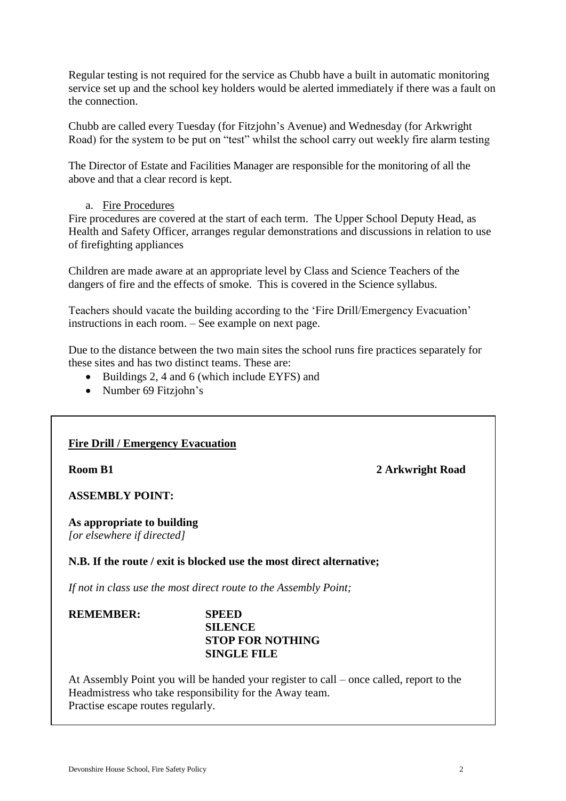Regular testing is not required for the service as Chubb have a built in automatic monitoring service set up and the school key holders would be alerted immediately if there was a fault on the connection.

Chubb are called every Tuesday (for Fitzjohn's Avenue) and Wednesday (for Arkwright Road) for the system to be put on "test" whilst the school carry out weekly fire alarm testing

The Director of Estate and Facilities Manager are responsible for the monitoring of all the above and that a clear record is kept.

### a. Fire Procedures

Fire procedures are covered at the start of each term. The Upper School Deputy Head, as Health and Safety Officer, arranges regular demonstrations and discussions in relation to use of firefighting appliances

Children are made aware at an appropriate level by Class and Science Teachers of the dangers of fire and the effects of smoke. This is covered in the Science syllabus.

Teachers should vacate the building according to the 'Fire Drill/Emergency Evacuation' instructions in each room. – See example on next page.

Due to the distance between the two main sites the school runs fire practices separately for these sites and has two distinct teams. These are:

- Buildings 2, 4 and 6 (which include EYFS) and
- Number 69 Fitzjohn's

# **Fire Drill / Emergency Evacuation**

**Room B1 2 Arkwright Road** 

**ASSEMBLY POINT:**

**As appropriate to building** *[or elsewhere if directed]*

### **N.B. If the route / exit is blocked use the most direct alternative;**

*If not in class use the most direct route to the Assembly Point;*

### **REMEMBER: SPEED SILENCE STOP FOR NOTHING SINGLE FILE**

At Assembly Point you will be handed your register to call – once called, report to the Headmistress who take responsibility for the Away team. Practise escape routes regularly.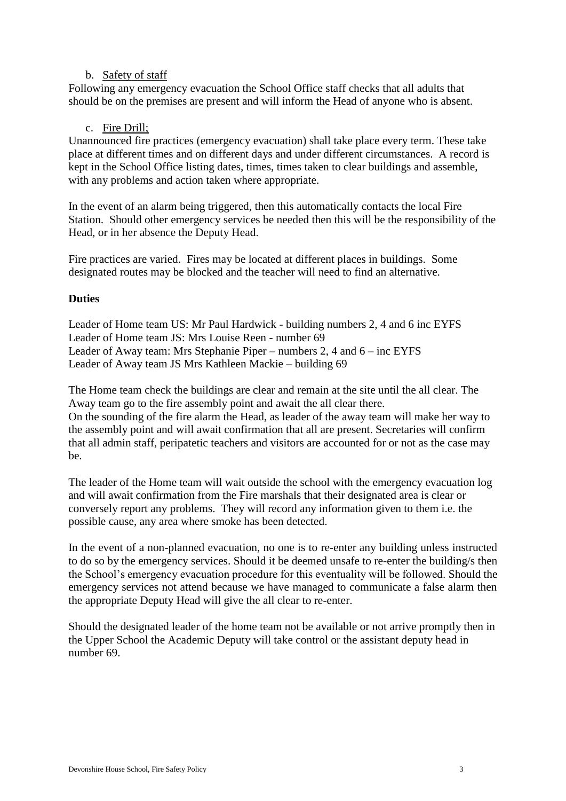### b. Safety of staff

Following any emergency evacuation the School Office staff checks that all adults that should be on the premises are present and will inform the Head of anyone who is absent.

## c. Fire Drill;

Unannounced fire practices (emergency evacuation) shall take place every term. These take place at different times and on different days and under different circumstances. A record is kept in the School Office listing dates, times, times taken to clear buildings and assemble, with any problems and action taken where appropriate.

In the event of an alarm being triggered, then this automatically contacts the local Fire Station. Should other emergency services be needed then this will be the responsibility of the Head, or in her absence the Deputy Head.

Fire practices are varied. Fires may be located at different places in buildings. Some designated routes may be blocked and the teacher will need to find an alternative.

## **Duties**

Leader of Home team US: Mr Paul Hardwick - building numbers 2, 4 and 6 inc EYFS Leader of Home team JS: Mrs Louise Reen - number 69 Leader of Away team: Mrs Stephanie Piper – numbers 2, 4 and 6 – inc EYFS Leader of Away team JS Mrs Kathleen Mackie – building 69

The Home team check the buildings are clear and remain at the site until the all clear. The Away team go to the fire assembly point and await the all clear there. On the sounding of the fire alarm the Head, as leader of the away team will make her way to the assembly point and will await confirmation that all are present. Secretaries will confirm that all admin staff, peripatetic teachers and visitors are accounted for or not as the case may be.

The leader of the Home team will wait outside the school with the emergency evacuation log and will await confirmation from the Fire marshals that their designated area is clear or conversely report any problems. They will record any information given to them i.e. the possible cause, any area where smoke has been detected.

In the event of a non-planned evacuation, no one is to re-enter any building unless instructed to do so by the emergency services. Should it be deemed unsafe to re-enter the building/s then the School's emergency evacuation procedure for this eventuality will be followed. Should the emergency services not attend because we have managed to communicate a false alarm then the appropriate Deputy Head will give the all clear to re-enter.

Should the designated leader of the home team not be available or not arrive promptly then in the Upper School the Academic Deputy will take control or the assistant deputy head in number 69.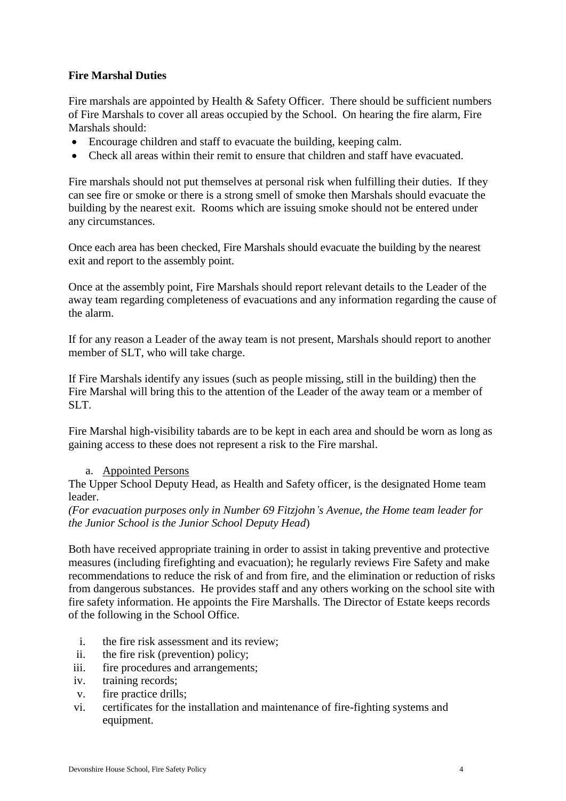## **Fire Marshal Duties**

Fire marshals are appointed by Health & Safety Officer. There should be sufficient numbers of Fire Marshals to cover all areas occupied by the School. On hearing the fire alarm, Fire Marshals should:

- Encourage children and staff to evacuate the building, keeping calm.
- Check all areas within their remit to ensure that children and staff have evacuated.

Fire marshals should not put themselves at personal risk when fulfilling their duties. If they can see fire or smoke or there is a strong smell of smoke then Marshals should evacuate the building by the nearest exit. Rooms which are issuing smoke should not be entered under any circumstances.

Once each area has been checked, Fire Marshals should evacuate the building by the nearest exit and report to the assembly point.

Once at the assembly point, Fire Marshals should report relevant details to the Leader of the away team regarding completeness of evacuations and any information regarding the cause of the alarm.

If for any reason a Leader of the away team is not present, Marshals should report to another member of SLT, who will take charge.

If Fire Marshals identify any issues (such as people missing, still in the building) then the Fire Marshal will bring this to the attention of the Leader of the away team or a member of SLT.

Fire Marshal high-visibility tabards are to be kept in each area and should be worn as long as gaining access to these does not represent a risk to the Fire marshal.

### a. Appointed Persons

The Upper School Deputy Head, as Health and Safety officer, is the designated Home team leader.

*(For evacuation purposes only in Number 69 Fitzjohn's Avenue, the Home team leader for the Junior School is the Junior School Deputy Head*)

Both have received appropriate training in order to assist in taking preventive and protective measures (including firefighting and evacuation); he regularly reviews Fire Safety and make recommendations to reduce the risk of and from fire, and the elimination or reduction of risks from dangerous substances. He provides staff and any others working on the school site with fire safety information. He appoints the Fire Marshalls. The Director of Estate keeps records of the following in the School Office.

- i. the fire risk assessment and its review;
- ii. the fire risk (prevention) policy;
- iii. fire procedures and arrangements;
- iv. training records;
- v. fire practice drills;
- vi. certificates for the installation and maintenance of fire-fighting systems and equipment.